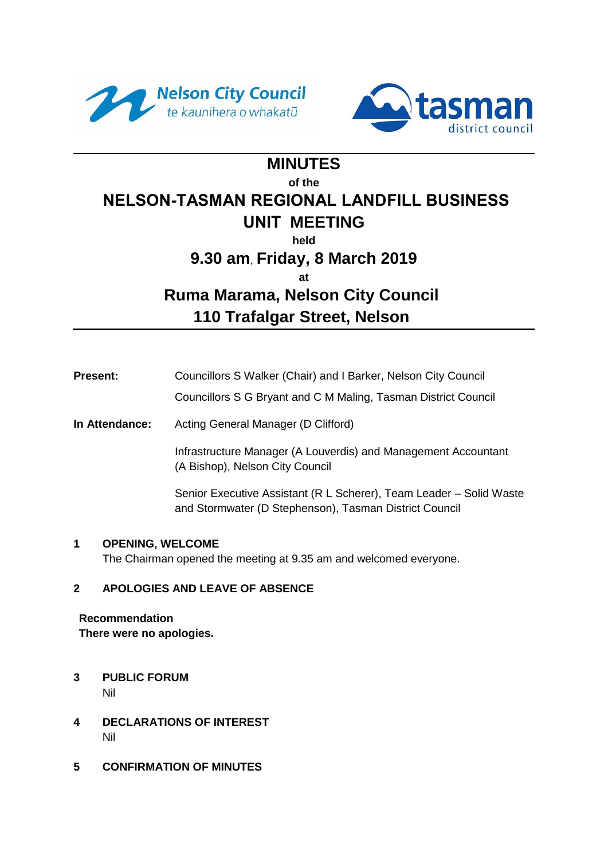



# **MINUTES**

#### **of the**

# **NELSON-TASMAN REGIONAL LANDFILL BUSINESS**

# **UNIT MEETING**

**held**

# **9.30 am**, **Friday, 8 March 2019**

**at**

# **Ruma Marama, Nelson City Council 110 Trafalgar Street, Nelson**

**Present:** Councillors S Walker (Chair) and I Barker, Nelson City Council

Councillors S G Bryant and C M Maling, Tasman District Council

**In Attendance:** Acting General Manager (D Clifford)

Infrastructure Manager (A Louverdis) and Management Accountant (A Bishop), Nelson City Council

Senior Executive Assistant (R L Scherer), Team Leader – Solid Waste and Stormwater (D Stephenson), Tasman District Council

# **1 OPENING, WELCOME**

The Chairman opened the meeting at 9.35 am and welcomed everyone.

# **2 APOLOGIES AND LEAVE OF ABSENCE**

**Recommendation There were no apologies.** 

- **3 PUBLIC FORUM**  Nil
- **4 DECLARATIONS OF INTEREST**  Nil
- **5 CONFIRMATION OF MINUTES**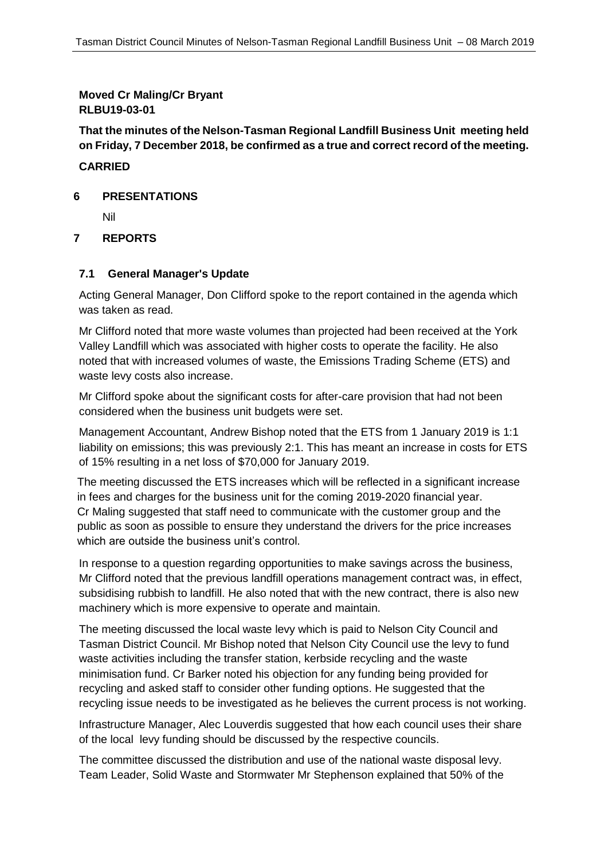**Moved Cr Maling/Cr Bryant RLBU19-03-01**

**That the minutes of the Nelson-Tasman Regional Landfill Business Unit meeting held on Friday, 7 December 2018, be confirmed as a true and correct record of the meeting.**

#### **CARRIED**

#### **6 PRESENTATIONS**

Nil

### **7 REPORTS**

#### **7.1 General Manager's Update**

Acting General Manager, Don Clifford spoke to the report contained in the agenda which was taken as read.

Mr Clifford noted that more waste volumes than projected had been received at the York Valley Landfill which was associated with higher costs to operate the facility. He also noted that with increased volumes of waste, the Emissions Trading Scheme (ETS) and waste levy costs also increase.

Mr Clifford spoke about the significant costs for after-care provision that had not been considered when the business unit budgets were set.

Management Accountant, Andrew Bishop noted that the ETS from 1 January 2019 is 1:1 liability on emissions; this was previously 2:1. This has meant an increase in costs for ETS of 15% resulting in a net loss of \$70,000 for January 2019.

The meeting discussed the ETS increases which will be reflected in a significant increase in fees and charges for the business unit for the coming 2019-2020 financial year. Cr Maling suggested that staff need to communicate with the customer group and the public as soon as possible to ensure they understand the drivers for the price increases which are outside the business unit's control.

In response to a question regarding opportunities to make savings across the business, Mr Clifford noted that the previous landfill operations management contract was, in effect, subsidising rubbish to landfill. He also noted that with the new contract, there is also new machinery which is more expensive to operate and maintain.

The meeting discussed the local waste levy which is paid to Nelson City Council and Tasman District Council. Mr Bishop noted that Nelson City Council use the levy to fund waste activities including the transfer station, kerbside recycling and the waste minimisation fund. Cr Barker noted his objection for any funding being provided for recycling and asked staff to consider other funding options. He suggested that the recycling issue needs to be investigated as he believes the current process is not working.

Infrastructure Manager, Alec Louverdis suggested that how each council uses their share of the local levy funding should be discussed by the respective councils.

The committee discussed the distribution and use of the national waste disposal levy. Team Leader, Solid Waste and Stormwater Mr Stephenson explained that 50% of the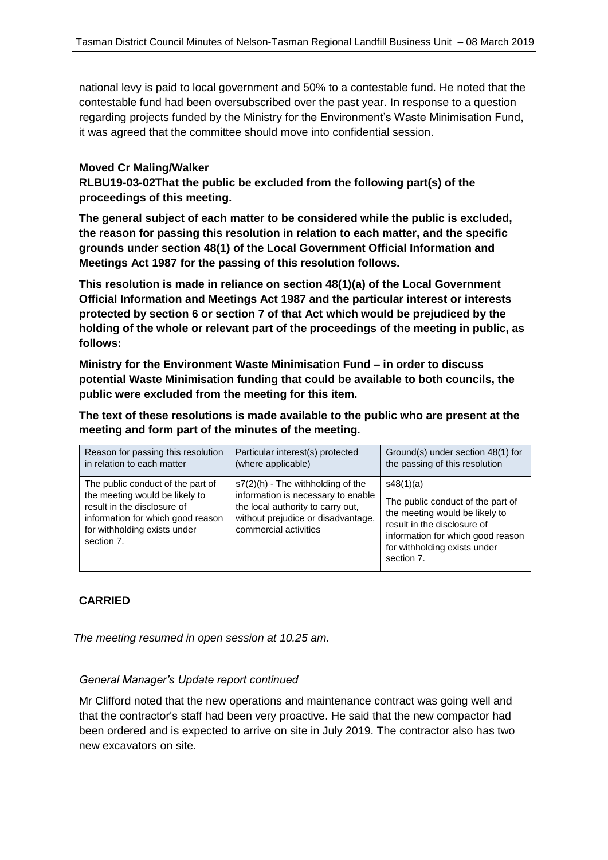national levy is paid to local government and 50% to a contestable fund. He noted that the contestable fund had been oversubscribed over the past year. In response to a question regarding projects funded by the Ministry for the Environment's Waste Minimisation Fund, it was agreed that the committee should move into confidential session.

#### **Moved Cr Maling/Walker**

**RLBU19-03-02That the public be excluded from the following part(s) of the proceedings of this meeting.**

**The general subject of each matter to be considered while the public is excluded, the reason for passing this resolution in relation to each matter, and the specific grounds under section 48(1) of the Local Government Official Information and Meetings Act 1987 for the passing of this resolution follows.**

**This resolution is made in reliance on section 48(1)(a) of the Local Government Official Information and Meetings Act 1987 and the particular interest or interests protected by section 6 or section 7 of that Act which would be prejudiced by the holding of the whole or relevant part of the proceedings of the meeting in public, as follows:**

**Ministry for the Environment Waste Minimisation Fund – in order to discuss potential Waste Minimisation funding that could be available to both councils, the public were excluded from the meeting for this item.** 

**The text of these resolutions is made available to the public who are present at the meeting and form part of the minutes of the meeting.**

| Reason for passing this resolution                                                                                                                                                    | Particular interest(s) protected                                                                                                                                               | Ground(s) under section 48(1) for                                                                                                                                                                  |
|---------------------------------------------------------------------------------------------------------------------------------------------------------------------------------------|--------------------------------------------------------------------------------------------------------------------------------------------------------------------------------|----------------------------------------------------------------------------------------------------------------------------------------------------------------------------------------------------|
| in relation to each matter                                                                                                                                                            | (where applicable)                                                                                                                                                             | the passing of this resolution                                                                                                                                                                     |
| The public conduct of the part of<br>the meeting would be likely to<br>result in the disclosure of<br>information for which good reason<br>for withholding exists under<br>section 7. | $s7(2)$ (h) - The withholding of the<br>information is necessary to enable<br>the local authority to carry out,<br>without prejudice or disadvantage,<br>commercial activities | s48(1)(a)<br>The public conduct of the part of<br>the meeting would be likely to<br>result in the disclosure of<br>information for which good reason<br>for withholding exists under<br>section 7. |

#### **CARRIED**

*The meeting resumed in open session at 10.25 am.* 

#### *General Manager's Update report continued*

Mr Clifford noted that the new operations and maintenance contract was going well and that the contractor's staff had been very proactive. He said that the new compactor had been ordered and is expected to arrive on site in July 2019. The contractor also has two new excavators on site.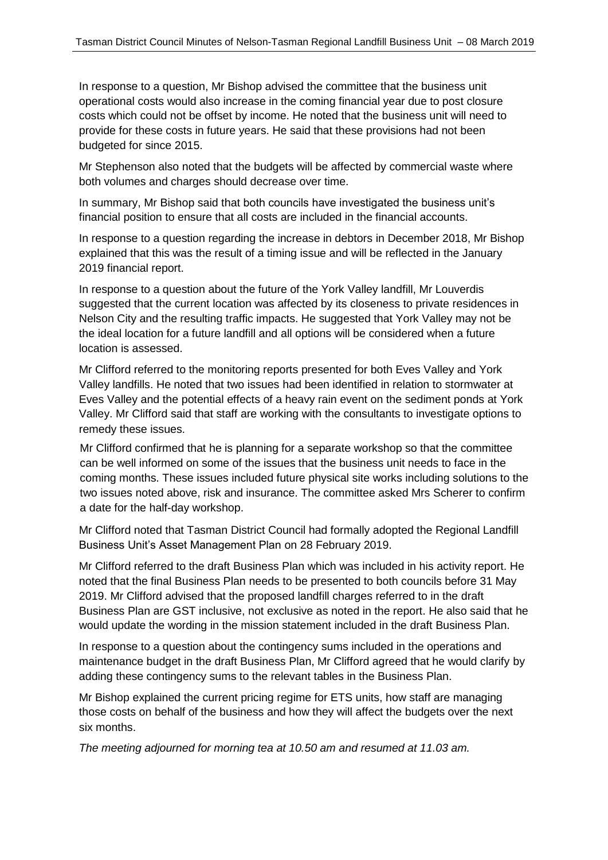In response to a question, Mr Bishop advised the committee that the business unit operational costs would also increase in the coming financial year due to post closure costs which could not be offset by income. He noted that the business unit will need to provide for these costs in future years. He said that these provisions had not been budgeted for since 2015.

Mr Stephenson also noted that the budgets will be affected by commercial waste where both volumes and charges should decrease over time.

In summary, Mr Bishop said that both councils have investigated the business unit's financial position to ensure that all costs are included in the financial accounts.

In response to a question regarding the increase in debtors in December 2018, Mr Bishop explained that this was the result of a timing issue and will be reflected in the January 2019 financial report.

In response to a question about the future of the York Valley landfill, Mr Louverdis suggested that the current location was affected by its closeness to private residences in Nelson City and the resulting traffic impacts. He suggested that York Valley may not be the ideal location for a future landfill and all options will be considered when a future location is assessed.

Mr Clifford referred to the monitoring reports presented for both Eves Valley and York Valley landfills. He noted that two issues had been identified in relation to stormwater at Eves Valley and the potential effects of a heavy rain event on the sediment ponds at York Valley. Mr Clifford said that staff are working with the consultants to investigate options to remedy these issues.

Mr Clifford confirmed that he is planning for a separate workshop so that the committee can be well informed on some of the issues that the business unit needs to face in the coming months. These issues included future physical site works including solutions to the two issues noted above, risk and insurance. The committee asked Mrs Scherer to confirm a date for the half-day workshop.

Mr Clifford noted that Tasman District Council had formally adopted the Regional Landfill Business Unit's Asset Management Plan on 28 February 2019.

Mr Clifford referred to the draft Business Plan which was included in his activity report. He noted that the final Business Plan needs to be presented to both councils before 31 May 2019. Mr Clifford advised that the proposed landfill charges referred to in the draft Business Plan are GST inclusive, not exclusive as noted in the report. He also said that he would update the wording in the mission statement included in the draft Business Plan.

In response to a question about the contingency sums included in the operations and maintenance budget in the draft Business Plan, Mr Clifford agreed that he would clarify by adding these contingency sums to the relevant tables in the Business Plan.

Mr Bishop explained the current pricing regime for ETS units, how staff are managing those costs on behalf of the business and how they will affect the budgets over the next six months.

*The meeting adjourned for morning tea at 10.50 am and resumed at 11.03 am.*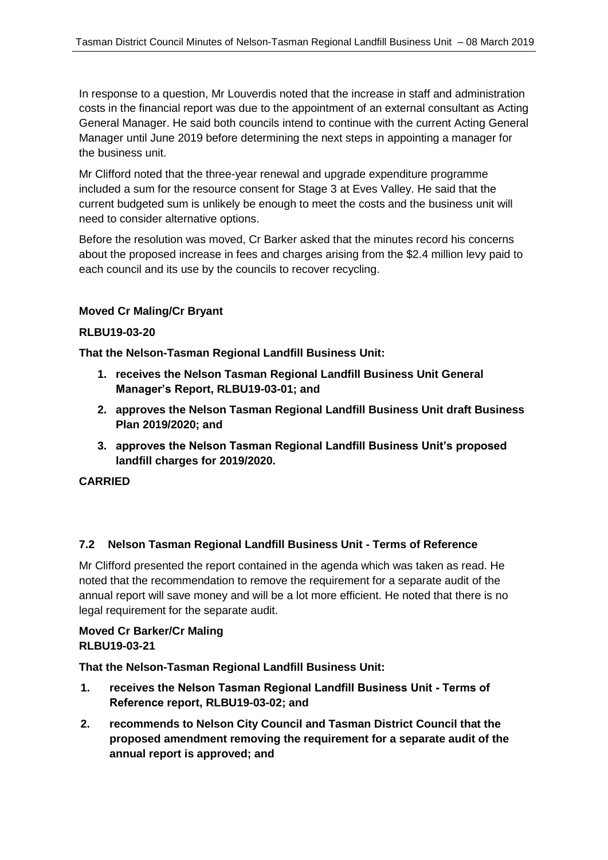In response to a question, Mr Louverdis noted that the increase in staff and administration costs in the financial report was due to the appointment of an external consultant as Acting General Manager. He said both councils intend to continue with the current Acting General Manager until June 2019 before determining the next steps in appointing a manager for the business unit.

Mr Clifford noted that the three-year renewal and upgrade expenditure programme included a sum for the resource consent for Stage 3 at Eves Valley. He said that the current budgeted sum is unlikely be enough to meet the costs and the business unit will need to consider alternative options.

Before the resolution was moved, Cr Barker asked that the minutes record his concerns about the proposed increase in fees and charges arising from the \$2.4 million levy paid to each council and its use by the councils to recover recycling.

### **Moved Cr Maling/Cr Bryant**

#### **RLBU19-03-20**

**That the Nelson-Tasman Regional Landfill Business Unit:**

- **1. receives the Nelson Tasman Regional Landfill Business Unit General Manager's Report, RLBU19-03-01; and**
- **2. approves the Nelson Tasman Regional Landfill Business Unit draft Business Plan 2019/2020; and**
- **3. approves the Nelson Tasman Regional Landfill Business Unit's proposed landfill charges for 2019/2020.**

#### **CARRIED**

#### **7.2 Nelson Tasman Regional Landfill Business Unit - Terms of Reference**

Mr Clifford presented the report contained in the agenda which was taken as read. He noted that the recommendation to remove the requirement for a separate audit of the annual report will save money and will be a lot more efficient. He noted that there is no legal requirement for the separate audit.

# **Moved Cr Barker/Cr Maling RLBU19-03-21**

**That the Nelson-Tasman Regional Landfill Business Unit:**

- **1. receives the Nelson Tasman Regional Landfill Business Unit - Terms of Reference report, RLBU19-03-02; and**
- **2. recommends to Nelson City Council and Tasman District Council that the proposed amendment removing the requirement for a separate audit of the annual report is approved; and**